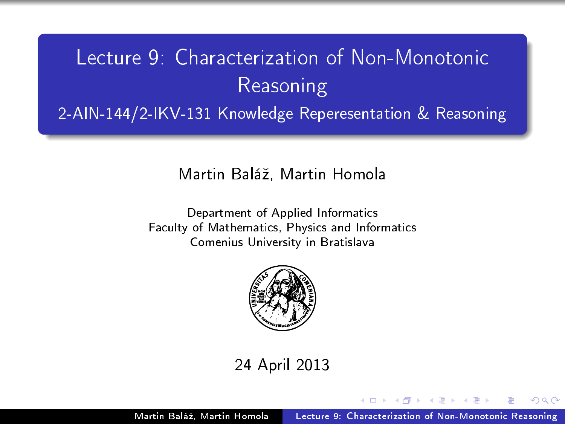# Lecture 9: Characterization of Non-Monotonic Reasoning 2-AIN-144/2-IKV-131 Knowledge Reperesentation & Reasoning

Martin Baláº, Martin Homola

Department of Applied Informatics Faculty of Mathematics, Physics and Informatics Comenius University in Bratislava



24 April 2013

<span id="page-0-0"></span>つくい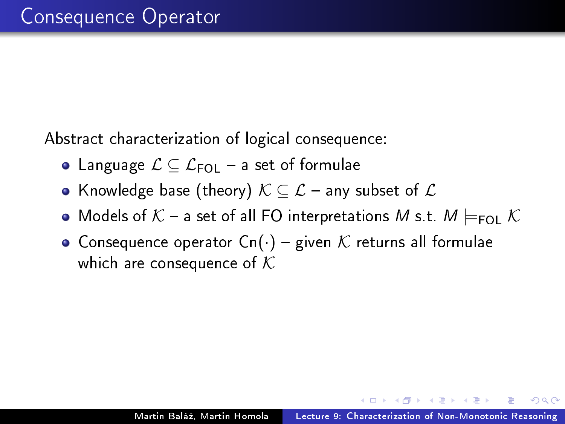Abstract characterization of logical consequence:

- Language  $\mathcal{L} \subseteq \mathcal{L}_{\mathsf{FOI}}$  a set of formulae
- Knowledge base (theory)  $K\subseteq\mathcal{L}$  any subset of  $\mathcal L$
- Models of  $K$  a set of all FO interpretations M s.t.  $M \models_{FOL} K$
- Consequence operator  $Cn(\cdot)$  given K returns all formulae which are consequence of  $K$

 $\Omega$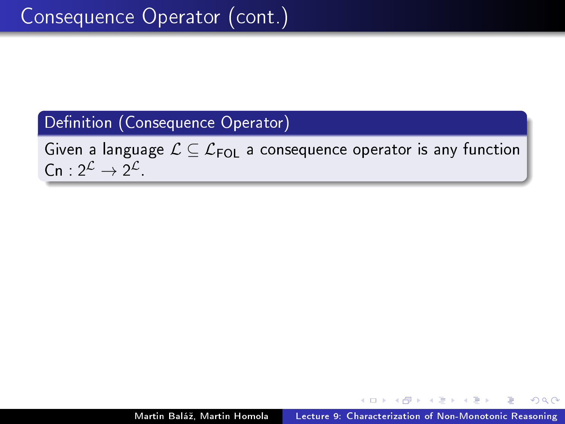#### Definition (Consequence Operator)

Given a language  $\mathcal{L} \subseteq \mathcal{L}_{\mathsf{FOL}}$  a consequence operator is any function  $\mathsf{Cn}: 2^{\mathcal{L}} \rightarrow 2^{\mathcal{L}}$ 

9 K E 9 K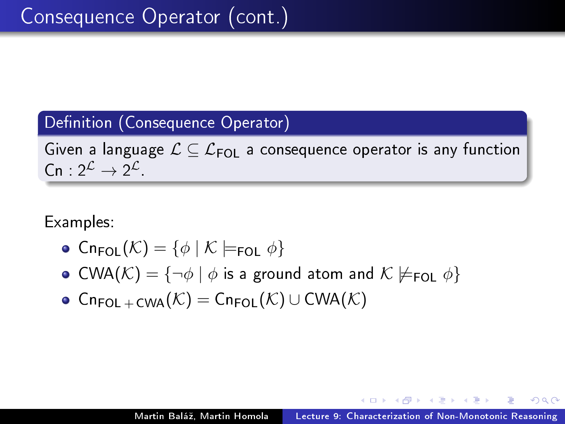#### Definition (Consequence Operator)

Given a language  $\mathcal{L} \subseteq \mathcal{L}_{FOI}$  a consequence operator is any function  $\mathsf{Cn}: 2^{\mathcal{L}} \rightarrow 2^{\mathcal{L}}$ 

Examples:

- $\circ$  Cn<sub>FOL</sub> $(\mathcal{K}) = {\phi \mid \mathcal{K} \models_{\text{FOL}} \phi}$
- CWA( $K$ ) = { $\neg \phi \mid \phi$  is a ground atom and  $K \not\models_{\text{FOL}} \phi$ }
- $\bullet$  Cn<sub>FOL + CWA</sub> $(\mathcal{K})$  = Cn<sub>FOL</sub> $(\mathcal{K})$  ∪ CWA $(\mathcal{K})$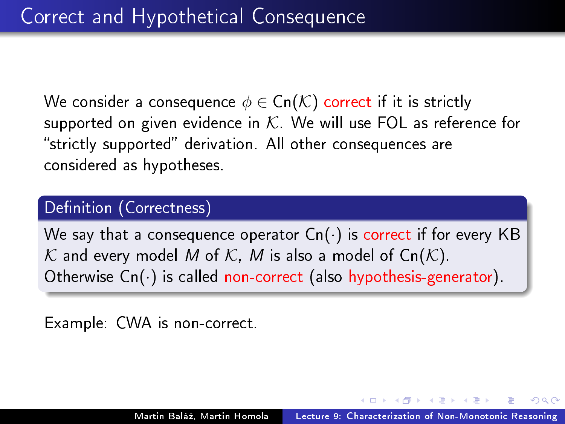We consider a consequence  $\phi \in \mathsf{Cn}(\mathcal{K})$  correct if it is strictly supported on given evidence in  $K$ . We will use FOL as reference for "strictly supported" derivation. All other consequences are considered as hypotheses.

#### Definition (Correctness)

We say that a consequence operator  $C_n(\cdot)$  is correct if for every KB K and every model M of K, M is also a model of  $Ch(K)$ . Otherwise Cn(.) is called non-correct (also hypothesis-generator).

Example: CWA is non-correct.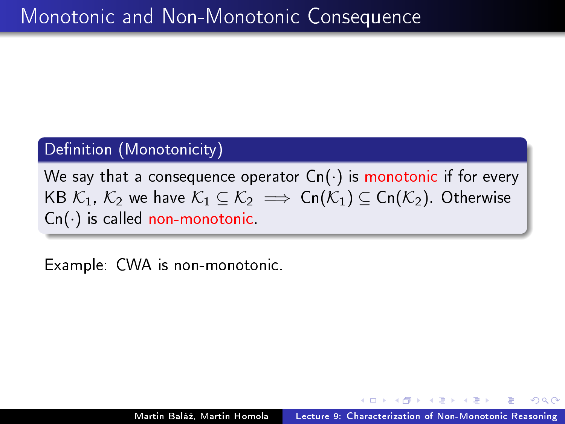### Definition (Monotonicity)

We say that a consequence operator  $C_n(\cdot)$  is monotonic if for every KB  $\mathcal{K}_1$ ,  $\mathcal{K}_2$  we have  $\mathcal{K}_1 \subseteq \mathcal{K}_2 \implies \mathsf{Cn}(\mathcal{K}_1) \subseteq \mathsf{Cn}(\mathcal{K}_2)$ . Otherwise  $Cn(\cdot)$  is called non-monotonic.

Example: CWA is non-monotonic.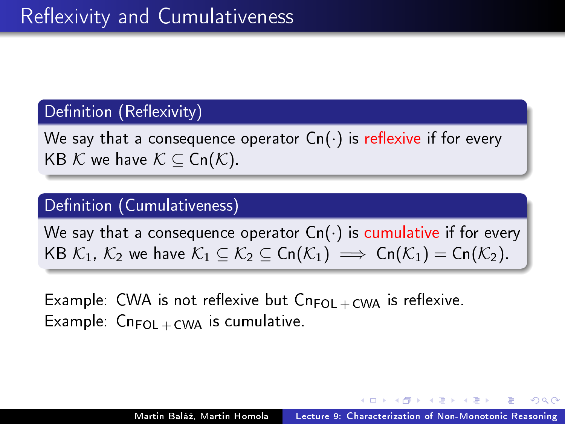#### Definition (Reflexivity)

We say that a consequence operator  $C_n(\cdot)$  is reflexive if for every KB  $K$  we have  $K \subset \text{Cn}(K)$ .

#### Definition (Cumulativeness)

We say that a consequence operator  $C_n(\cdot)$  is cumulative if for every KB  $\mathcal{K}_1$ ,  $\mathcal{K}_2$  we have  $\mathcal{K}_1 \subseteq \mathcal{K}_2 \subseteq \mathsf{Cn}(\mathcal{K}_1) \implies \mathsf{Cn}(\mathcal{K}_1) = \mathsf{Cn}(\mathcal{K}_2)$ .

Example: CWA is not reflexive but  $Cn_{FOL + CWA}$  is reflexive. Example:  $Cn_{FOL + CWA}$  is cumulative.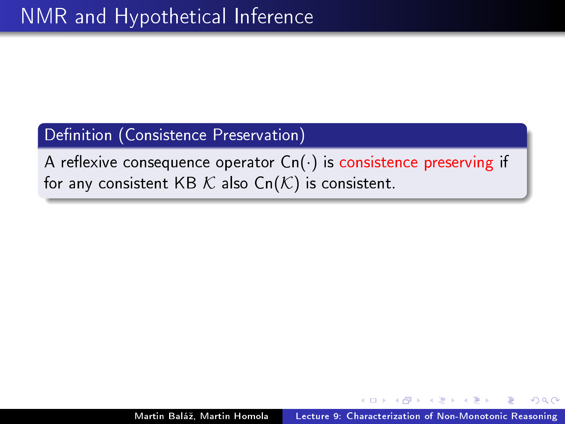#### Definition (Consistence Preservation)

A reflexive consequence operator  $C_n(\cdot)$  is consistence preserving if for any consistent KB  $K$  also  $\mathsf{Cn}(\mathcal{K})$  is consistent.

つくい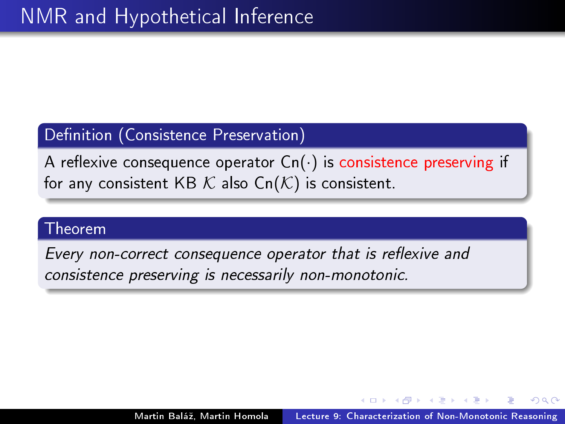#### Definition (Consistence Preservation)

A reflexive consequence operator  $C_n(\cdot)$  is consistence preserving if for any consistent KB  $K$  also  $\mathsf{Cn}(\mathcal{K})$  is consistent.

#### Theorem

Every non-correct consequence operator that is reflexive and consistence preserving is necessarily non-monotonic.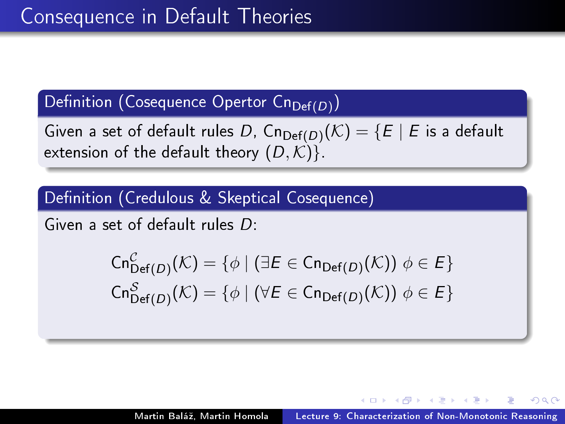## Definition (Cosequence Opertor Cn $_{\mathrm{Def}(D)})$

Given a set of default rules  $D$ ,  $\mathsf{Cn}_{\mathsf{Def}(D)}(\mathcal{K})=\{E\mid E$  is a default extension of the default theory  $(D, \mathcal{K})$ .

Definition (Credulous & Skeptical Cosequence)

Given a set of default rules D:

$$
\operatorname{Cn}^{\mathcal{C}}_{\operatorname{Def}(D)}(\mathcal{K}) = \{ \phi \mid (\exists E \in \operatorname{Cn}_{\operatorname{Def}(D)}(\mathcal{K})) \phi \in E \}
$$
  

$$
\operatorname{Cn}^{\mathcal{S}}_{\operatorname{Def}(D)}(\mathcal{K}) = \{ \phi \mid (\forall E \in \operatorname{Cn}_{\operatorname{Def}(D)}(\mathcal{K})) \phi \in E \}
$$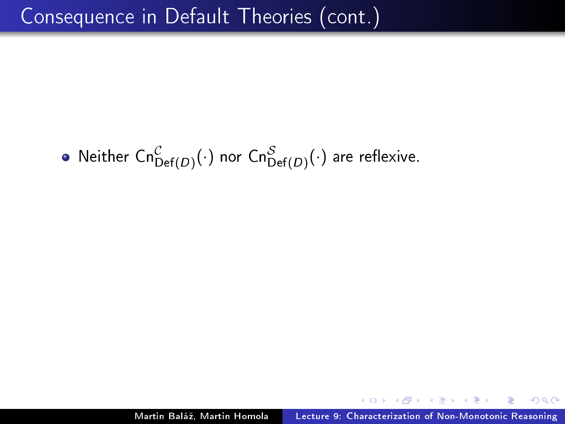Neither  $\mathsf{Cn}^\mathcal{C}_{\mathsf{Def}(D)}(\cdot)$  nor  $\mathsf{Cn}^\mathcal{S}_{\mathsf{Def}(D)}(\cdot)$  are reflexive.

 $QQ$ 

 $\lambda$  . The  $\lambda$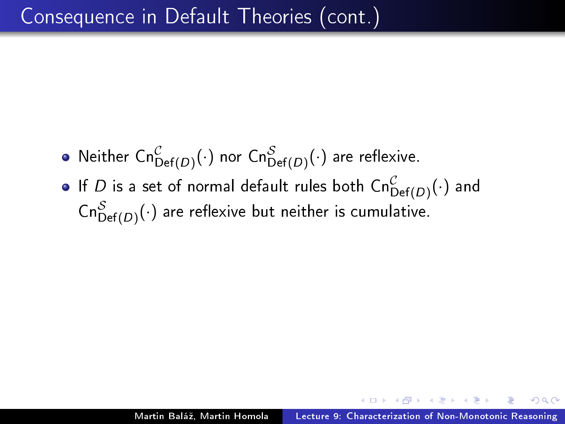- Neither  $\mathsf{Cn}^\mathcal{C}_{\mathsf{Def}(D)}(\cdot)$  nor  $\mathsf{Cn}^\mathcal{S}_{\mathsf{Def}(D)}(\cdot)$  are reflexive.
- If  $D$  is a set of normal default rules both  $\mathsf{Cn}^\mathcal{C}_{\mathsf{Def}(D)}(\cdot)$  and  $\mathsf{Cn}^\mathcal{S}_{\mathsf{Def}(D)}(\cdot)$  are reflexive but neither is cumulative.